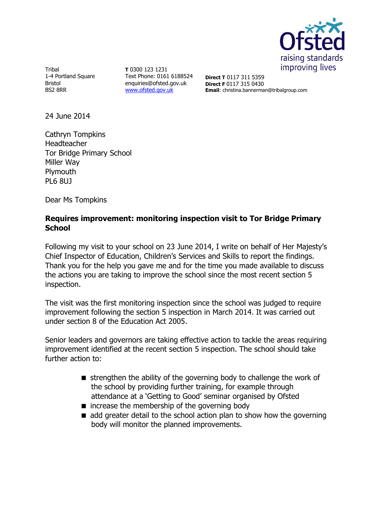

Tribal 1-4 Portland Square Bristol BS2 8RR

**T** 0300 123 1231 Text Phone: 0161 6188524 enquiries@ofsted.gov.uk [www.ofsted.gov.uk](http://www.ofsted.gov.uk/)

**Direct T** 0117 311 5359 **Direct F** 0117 315 0430 **Email**: christina.bannerman@tribalgroup.com

24 June 2014

Cathryn Tompkins Headteacher Tor Bridge Primary School Miller Way **Plymouth** PL6 8UJ

Dear Ms Tompkins

## **Requires improvement: monitoring inspection visit to Tor Bridge Primary School**

Following my visit to your school on 23 June 2014, I write on behalf of Her Majesty's Chief Inspector of Education, Children's Services and Skills to report the findings. Thank you for the help you gave me and for the time you made available to discuss the actions you are taking to improve the school since the most recent section 5 inspection.

The visit was the first monitoring inspection since the school was judged to require improvement following the section 5 inspection in March 2014. It was carried out under section 8 of the Education Act 2005.

Senior leaders and governors are taking effective action to tackle the areas requiring improvement identified at the recent section 5 inspection. The school should take further action to:

- $\blacksquare$  strengthen the ability of the governing body to challenge the work of the school by providing further training, for example through attendance at a 'Getting to Good' seminar organised by Ofsted
- $\blacksquare$  increase the membership of the governing body
- $\blacksquare$  add greater detail to the school action plan to show how the governing body will monitor the planned improvements.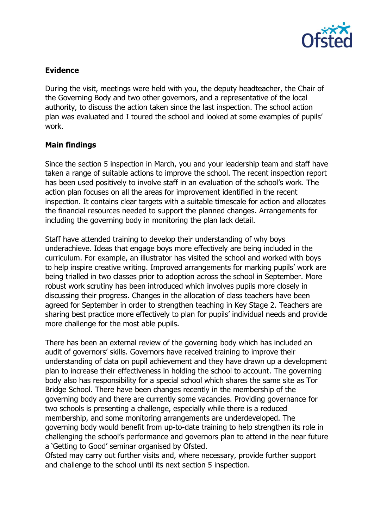

## **Evidence**

During the visit, meetings were held with you, the deputy headteacher, the Chair of the Governing Body and two other governors, and a representative of the local authority, to discuss the action taken since the last inspection. The school action plan was evaluated and I toured the school and looked at some examples of pupils' work.

## **Main findings**

Since the section 5 inspection in March, you and your leadership team and staff have taken a range of suitable actions to improve the school. The recent inspection report has been used positively to involve staff in an evaluation of the school's work. The action plan focuses on all the areas for improvement identified in the recent inspection. It contains clear targets with a suitable timescale for action and allocates the financial resources needed to support the planned changes. Arrangements for including the governing body in monitoring the plan lack detail.

Staff have attended training to develop their understanding of why boys underachieve. Ideas that engage boys more effectively are being included in the curriculum. For example, an illustrator has visited the school and worked with boys to help inspire creative writing. Improved arrangements for marking pupils' work are being trialled in two classes prior to adoption across the school in September. More robust work scrutiny has been introduced which involves pupils more closely in discussing their progress. Changes in the allocation of class teachers have been agreed for September in order to strengthen teaching in Key Stage 2. Teachers are sharing best practice more effectively to plan for pupils' individual needs and provide more challenge for the most able pupils.

There has been an external review of the governing body which has included an audit of governors' skills. Governors have received training to improve their understanding of data on pupil achievement and they have drawn up a development plan to increase their effectiveness in holding the school to account. The governing body also has responsibility for a special school which shares the same site as Tor Bridge School. There have been changes recently in the membership of the governing body and there are currently some vacancies. Providing governance for two schools is presenting a challenge, especially while there is a reduced membership, and some monitoring arrangements are underdeveloped. The governing body would benefit from up-to-date training to help strengthen its role in challenging the school's performance and governors plan to attend in the near future a 'Getting to Good' seminar organised by Ofsted.

Ofsted may carry out further visits and, where necessary, provide further support and challenge to the school until its next section 5 inspection.